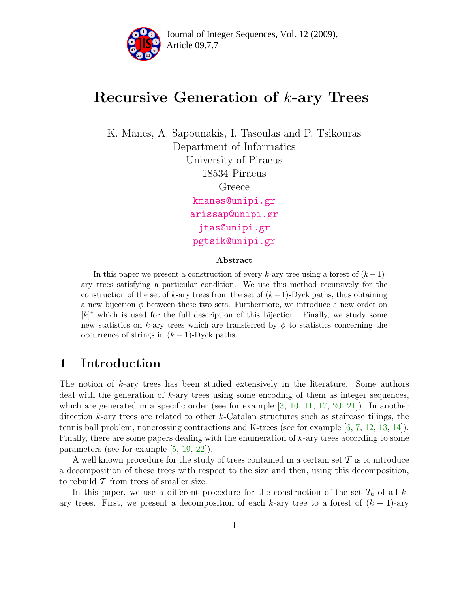

# Recursive Generation of k-ary Trees

K. Manes, A. Sapounakis, I. Tasoulas and P. Tsikouras Department of Informatics University of Piraeus 18534 Piraeus Greece [kmanes@unipi.gr](mailto:kmanes@unipi.gr) [arissap@unipi.gr](mailto:arissap@unipi.gr) [jtas@unipi.gr](mailto:jtas@unipi.gr) [pgtsik@unipi.gr](mailto:pgtsik@unipi.gr)

#### Abstract

In this paper we present a construction of every k-ary tree using a forest of  $(k-1)$ ary trees satisfying a particular condition. We use this method recursively for the construction of the set of k-ary trees from the set of  $(k-1)$ -Dyck paths, thus obtaining a new bijection  $\phi$  between these two sets. Furthermore, we introduce a new order on  $[k]^*$  which is used for the full description of this bijection. Finally, we study some new statistics on k-ary trees which are transferred by  $\phi$  to statistics concerning the occurrence of strings in  $(k-1)$ -Dyck paths.

### 1 Introduction

The notion of k-ary trees has been studied extensively in the literature. Some authors deal with the generation of  $k$ -ary trees using some encoding of them as integer sequences, which are generated in a specific order (see for example  $[3, 10, 11, 17, 20, 21]$  $[3, 10, 11, 17, 20, 21]$  $[3, 10, 11, 17, 20, 21]$  $[3, 10, 11, 17, 20, 21]$  $[3, 10, 11, 17, 20, 21]$  $[3, 10, 11, 17, 20, 21]$  $[3, 10, 11, 17, 20, 21]$  $[3, 10, 11, 17, 20, 21]$  $[3, 10, 11, 17, 20, 21]$  $[3, 10, 11, 17, 20, 21]$ ). In another direction k-ary trees are related to other k-Catalan structures such as staircase tilings, the tennis ball problem, noncrossing contractions and K-trees (see for example [\[6,](#page-16-4) [7,](#page-16-5) [12,](#page-16-6) [13,](#page-16-7) [14\]](#page-16-8)). Finally, there are some papers dealing with the enumeration of k-ary trees according to some parameters (see for example [\[5,](#page-16-9) [19,](#page-17-2) [22\]](#page-17-3)).

A well known procedure for the study of trees contained in a certain set  $\mathcal T$  is to introduce a decomposition of these trees with respect to the size and then, using this decomposition, to rebuild  $\mathcal T$  from trees of smaller size.

In this paper, we use a different procedure for the construction of the set  $\mathcal{T}_k$  of all kary trees. First, we present a decomposition of each k-ary tree to a forest of  $(k-1)$ -ary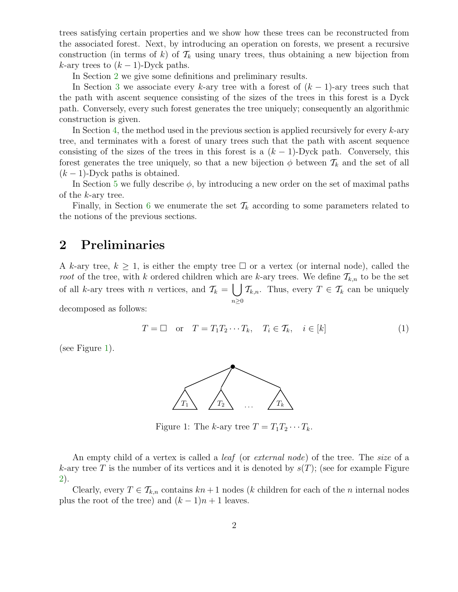trees satisfying certain properties and we show how these trees can be reconstructed from the associated forest. Next, by introducing an operation on forests, we present a recursive construction (in terms of k) of  $\mathcal{T}_k$  using unary trees, thus obtaining a new bijection from k-ary trees to  $(k-1)$ -Dyck paths.

In Section [2](#page-1-0) we give some definitions and preliminary results.

In Section [3](#page-4-0) we associate every k-ary tree with a forest of  $(k-1)$ -ary trees such that the path with ascent sequence consisting of the sizes of the trees in this forest is a Dyck path. Conversely, every such forest generates the tree uniquely; consequently an algorithmic construction is given.

In Section [4,](#page-8-0) the method used in the previous section is applied recursively for every  $k$ -ary tree, and terminates with a forest of unary trees such that the path with ascent sequence consisting of the sizes of the trees in this forest is a  $(k-1)$ -Dyck path. Conversely, this forest generates the tree uniquely, so that a new bijection  $\phi$  between  $\mathcal{T}_k$  and the set of all  $(k-1)$ -Dyck paths is obtained.

In Section [5](#page-10-0) we fully describe  $\phi$ , by introducing a new order on the set of maximal paths of the k-ary tree.

Finally, in Section [6](#page-13-0) we enumerate the set  $\mathcal{T}_k$  according to some parameters related to the notions of the previous sections.

### <span id="page-1-0"></span>2 Preliminaries

A k-ary tree,  $k \geq 1$ , is either the empty tree  $\Box$  or a vertex (or internal node), called the root of the tree, with k ordered children which are k-ary trees. We define  $\mathcal{T}_{k,n}$  to be the set of all k-ary trees with *n* vertices, and  $\mathcal{T}_k = \begin{bmatrix} \end{bmatrix}$  $n \geq 0$  $\mathcal{T}_{k,n}$ . Thus, every  $T \in \mathcal{T}_k$  can be uniquely

<span id="page-1-2"></span>decomposed as follows:

$$
T = \Box \quad \text{or} \quad T = T_1 T_2 \cdots T_k, \quad T_i \in T_k, \quad i \in [k]
$$
 (1)

(see Figure [1\)](#page-1-1).



<span id="page-1-1"></span>Figure 1: The k-ary tree  $T = T_1 T_2 \cdots T_k$ .

An empty child of a vertex is called a *leaf* (or *external node*) of the tree. The *size* of a k-ary tree T is the number of its vertices and it is denoted by  $s(T)$ ; (see for example Figure [2\)](#page-2-0).

Clearly, every  $T \in \mathcal{T}_{k,n}$  contains  $kn+1$  nodes (k children for each of the n internal nodes plus the root of the tree) and  $(k-1)n + 1$  leaves.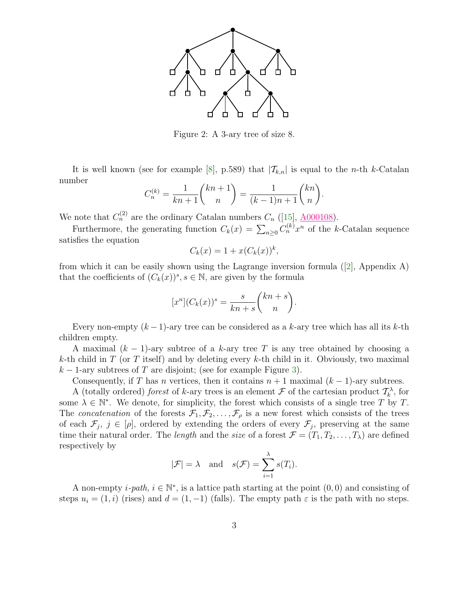

<span id="page-2-0"></span>Figure 2: A 3-ary tree of size 8.

It is well known (see for example [\[8\]](#page-16-10), p.589) that  $|\mathcal{T}_{k,n}|$  is equal to the *n*-th *k*-Catalan number

$$
C_n^{(k)} = \frac{1}{kn+1} {kn+1 \choose n} = \frac{1}{(k-1)n+1} {kn \choose n}.
$$

We note that  $C_n^{(2)}$  are the ordinary Catalan numbers  $C_n$  ([\[15\]](#page-16-11),  $\underline{\text{A000108}}$ ).

Furthermore, the generating function  $C_k(x) = \sum_{n\geq 0} C_n^{(k)} x^n$  of the k-Catalan sequence satisfies the equation

$$
C_k(x) = 1 + x(C_k(x))^k,
$$

from which it can be easily shown using the Lagrange inversion formula ([\[2\]](#page-16-12), Appendix A) that the coefficients of  $(C_k(x))^s$ ,  $s \in \mathbb{N}$ , are given by the formula

$$
[x^n](C_k(x))^s = \frac{s}{kn+s} {kn+s \choose n}.
$$

Every non-empty  $(k-1)$ -ary tree can be considered as a k-ary tree which has all its k-th children empty.

A maximal  $(k-1)$ -ary subtree of a k-ary tree T is any tree obtained by choosing a k-th child in T (or T itself) and by deleting every k-th child in it. Obviously, two maximal  $k-1$ -ary subtrees of T are disjoint; (see for example Figure [3\)](#page-3-0).

Consequently, if T has n vertices, then it contains  $n + 1$  maximal  $(k - 1)$ -ary subtrees.

A (totally ordered) *forest* of k-ary trees is an element  $\mathcal F$  of the cartesian product  $\mathcal T_k^{\lambda}$ , for some  $\lambda \in \mathbb{N}^*$ . We denote, for simplicity, the forest which consists of a single tree T by T. The concatenation of the forests  $\mathcal{F}_1, \mathcal{F}_2, \ldots, \mathcal{F}_\rho$  is a new forest which consists of the trees of each  $\mathcal{F}_j$ ,  $j \in [\rho]$ , ordered by extending the orders of every  $\mathcal{F}_j$ , preserving at the same time their natural order. The *length* and the *size* of a forest  $\mathcal{F} = (T_1, T_2, \dots, T_\lambda)$  are defined respectively by

$$
|\mathcal{F}| = \lambda
$$
 and  $s(\mathcal{F}) = \sum_{i=1}^{\lambda} s(T_i).$ 

A non-empty *i-path*,  $i \in \mathbb{N}^*$ , is a lattice path starting at the point  $(0,0)$  and consisting of steps  $u_i = (1,i)$  (rises) and  $d = (1,-1)$  (falls). The empty path  $\varepsilon$  is the path with no steps.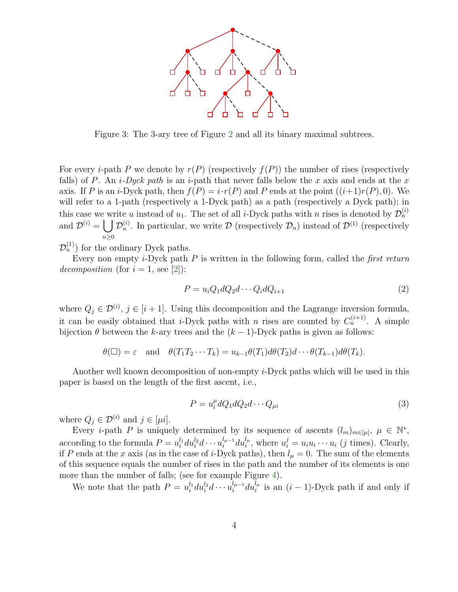

<span id="page-3-0"></span>Figure 3: The 3-ary tree of Figure [2](#page-2-0) and all its binary maximal subtrees.

For every *i*-path P we denote by  $r(P)$  (respectively  $f(P)$ ) the number of rises (respectively falls) of P. An  $i$ -Dyck path is an  $i$ -path that never falls below the x axis and ends at the x axis. If P is an *i*-Dyck path, then  $f(P) = i \cdot r(P)$  and P ends at the point  $((i+1)r(P), 0)$ . We will refer to a 1-path (respectively a 1-Dyck path) as a path (respectively a Dyck path); in this case we write u instead of  $u_1$ . The set of all *i*-Dyck paths with n rises is denoted by  $\mathcal{D}_n^{(i)}$ and  $\mathcal{D}^{(i)} = \bigcup \mathcal{D}_n^{(i)}$ . In particular, we write  $\mathcal{D}$  (respectively  $\mathcal{D}_n$ ) instead of  $\mathcal{D}^{(1)}$  (respectively  $n\geq 0$ 

 $\mathcal{D}_n^{(1)}$  for the ordinary Dyck paths.

Every non empty  $i$ -Dyck path  $P$  is written in the following form, called the *first return* decomposition (for  $i = 1$ , see [\[2\]](#page-16-12)):

$$
P = u_i Q_1 d Q_2 d \cdots Q_i d Q_{i+1} \tag{2}
$$

where  $Q_j \in \mathcal{D}^{(i)}$ ,  $j \in [i+1]$ . Using this decomposition and the Lagrange inversion formula, it can be easily obtained that *i*-Dyck paths with *n* rises are counted by  $C_n^{(i+1)}$ . A simple bijection  $\theta$  between the k-ary trees and the  $(k-1)$ -Dyck paths is given as follows:

$$
\theta(\Box) = \varepsilon
$$
 and  $\theta(T_1T_2\cdots T_k) = u_{k-1}\theta(T_1)d\theta(T_2)d\cdots\theta(T_{k-1})d\theta(T_k).$ 

<span id="page-3-1"></span>Another well known decomposition of non-empty i-Dyck paths which will be used in this paper is based on the length of the first ascent, i.e.,

$$
P = u_i^{\mu} dQ_1 dQ_2 d \cdots Q_{\mu i}
$$
\n<sup>(3)</sup>

where  $Q_i \in \mathcal{D}^{(i)}$  and  $j \in [\mu i]$ .

Every *i*-path P is uniquely determined by its sequence of ascents  $(l_m)_{m\in[\mu]}, \mu \in \mathbb{N}^*$ , according to the formula  $P = u_i^{l_1}$  $\frac{l_1}{i} du_i^{l_2} d \cdots u_i^{l_{\mu-1}}$  $u_i^{l_{\mu-1}} du_i^{l_{\mu}}$ , where  $u_i^j = u_i u_i \cdots u_i$  (j times). Clearly, if P ends at the x axis (as in the case of i-Dyck paths), then  $l_{\mu} = 0$ . The sum of the elements of this sequence equals the number of rises in the path and the number of its elements is one more than the number of falls; (see for example Figure [4\)](#page-4-1).

We note that the path  $P = u_i^{l_1}$  $\frac{l_1}{i} du_i^{l_2} d \cdots u_i^{l_{\mu-1}}$  $\int_{i}^{l_{\mu-1}} du_i^{l_{\mu}}$  is an  $(i-1)$ -Dyck path if and only if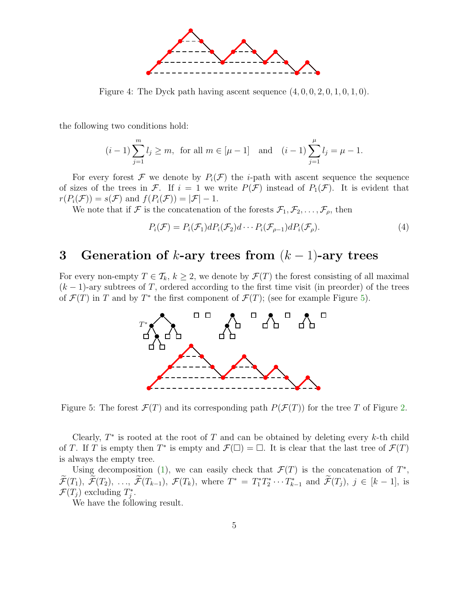

<span id="page-4-1"></span>Figure 4: The Dyck path having ascent sequence  $(4, 0, 0, 2, 0, 1, 0, 1, 0)$ .

the following two conditions hold:

$$
(i-1)\sum_{j=1}^{m} l_j \ge m
$$
, for all  $m \in [\mu - 1]$  and  $(i-1)\sum_{j=1}^{\mu} l_j = \mu - 1$ .

For every forest F we denote by  $P_i(\mathcal{F})$  the *i*-path with ascent sequence the sequence of sizes of the trees in F. If  $i = 1$  we write  $P(\mathcal{F})$  instead of  $P_1(\mathcal{F})$ . It is evident that  $r(P_i(\mathcal{F})) = s(\mathcal{F})$  and  $f(P_i(\mathcal{F})) = |\mathcal{F}| - 1$ .

We note that if F is the concatenation of the forests  $\mathcal{F}_1, \mathcal{F}_2, \ldots, \mathcal{F}_\rho$ , then

<span id="page-4-3"></span>
$$
P_i(\mathcal{F}) = P_i(\mathcal{F}_1) dP_i(\mathcal{F}_2) d \cdots P_i(\mathcal{F}_{\rho-1}) dP_i(\mathcal{F}_{\rho}). \tag{4}
$$

# <span id="page-4-0"></span>3 Generation of  $k$ -ary trees from  $(k-1)$ -ary trees

For every non-empty  $T \in \mathcal{T}_k$ ,  $k \geq 2$ , we denote by  $\mathcal{F}(T)$  the forest consisting of all maximal  $(k-1)$ -ary subtrees of T, ordered according to the first time visit (in preorder) of the trees of  $\mathcal{F}(T)$  in T and by T<sup>\*</sup> the first component of  $\mathcal{F}(T)$ ; (see for example Figure [5\)](#page-4-2).



<span id="page-4-2"></span>Figure 5: The forest  $\mathcal{F}(T)$  and its corresponding path  $P(\mathcal{F}(T))$  for the tree T of Figure [2.](#page-2-0)

Clearly,  $T^*$  is rooted at the root of  $T$  and can be obtained by deleting every  $k$ -th child of T. If T is empty then  $T^*$  is empty and  $\mathcal{F}(\square) = \square$ . It is clear that the last tree of  $\mathcal{F}(T)$ is always the empty tree.

<span id="page-4-4"></span>Using decomposition [\(1\)](#page-1-2), we can easily check that  $\mathcal{F}(T)$  is the concatenation of  $T^*$ ,  $\mathcal{F}(T_1), \mathcal{F}(T_2), \ldots, \mathcal{F}(T_{k-1}), \mathcal{F}(T_k),$  where  $T^* = T_1^* T_2^* \cdots T_{k-1}^*$  and  $\mathcal{F}(T_j), j \in [k-1]$ , is  $\mathcal{F}(T_j)$  excluding  $T_j^*$ .

We have the following result.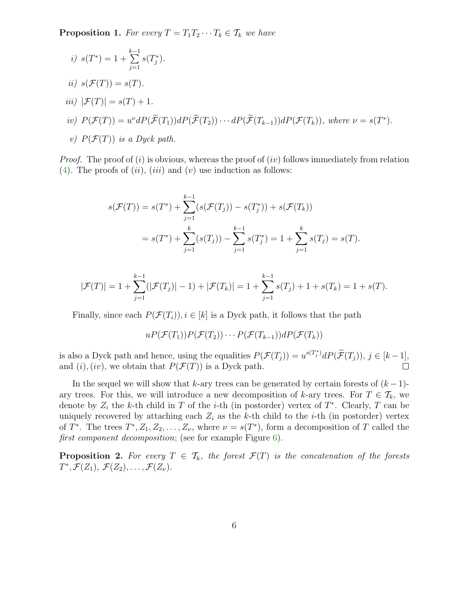**Proposition 1.** For every  $T = T_1 T_2 \cdots T_k \in T_k$  we have

\n- i) 
$$
s(T^*) = 1 + \sum_{j=1}^{k-1} s(T_j^*).
$$
\n- ii)  $s(\mathcal{F}(T)) = s(T).$
\n- iii)  $|\mathcal{F}(T)| = s(T) + 1.$
\n- iv)  $P(\mathcal{F}(T)) = u^{\nu} dP(\widetilde{\mathcal{F}}(T_1)) dP(\widetilde{\mathcal{F}}(T_2)) \cdots dP(\widetilde{\mathcal{F}}(T_{k-1})) dP(\mathcal{F}(T_k)),$  where  $\nu = s(T^*).$
\n- v)  $P(\mathcal{F}(T))$  is a Dyck path.
\n

*Proof.* The proof of (i) is obvious, whereas the proof of (iv) follows immediately from relation [\(4\)](#page-4-3). The proofs of  $(ii)$ ,  $(iii)$  and  $(v)$  use induction as follows:

$$
s(\mathcal{F}(T)) = s(T^*) + \sum_{j=1}^{k-1} (s(\mathcal{F}(T_j)) - s(T_j^*)) + s(\mathcal{F}(T_k))
$$
  
=  $s(T^*) + \sum_{j=1}^{k} (s(T_j)) - \sum_{j=1}^{k-1} s(T_j^*) = 1 + \sum_{j=1}^{k} s(T_j) = s(T).$ 

$$
|\mathcal{F}(T)| = 1 + \sum_{j=1}^{k-1} (|\mathcal{F}(T_j)| - 1) + |\mathcal{F}(T_k)| = 1 + \sum_{j=1}^{k-1} s(T_j) + 1 + s(T_k) = 1 + s(T).
$$

Finally, since each  $P(\mathcal{F}(T_i))$ ,  $i \in [k]$  is a Dyck path, it follows that the path

$$
uP(\mathcal{F}(T_1))P(\mathcal{F}(T_2))\cdots P(\mathcal{F}(T_{k-1}))dP(\mathcal{F}(T_k))
$$

is also a Dyck path and hence, using the equalities  $P(\mathcal{F}(T_j)) = u^{s(T_j^*)} dP(\tilde{\mathcal{F}}(T_j)), j \in [k-1],$ and  $(i)$ ,  $(iv)$ , we obtain that  $P(\mathcal{F}(T))$  is a Dyck path.

In the sequel we will show that k-ary trees can be generated by certain forests of  $(k-1)$ ary trees. For this, we will introduce a new decomposition of k-ary trees. For  $T \in \mathcal{T}_k$ , we denote by  $Z_i$  the k-th child in T of the *i*-th (in postorder) vertex of  $T^*$ . Clearly, T can be uniquely recovered by attaching each  $Z_i$  as the k-th child to the *i*-th (in postorder) vertex of  $T^*$ . The trees  $T^*, Z_1, Z_2, \ldots, Z_{\nu}$ , where  $\nu = s(T^*)$ , form a decomposition of T called the first component decomposition; (see for example Figure [6\)](#page-6-0).

<span id="page-5-0"></span>**Proposition 2.** For every  $T \in \mathcal{T}_k$ , the forest  $\mathcal{F}(T)$  is the concatenation of the forests  $T^*, \mathcal{F}(Z_1), \mathcal{F}(Z_2), \ldots, \mathcal{F}(Z_{\nu}).$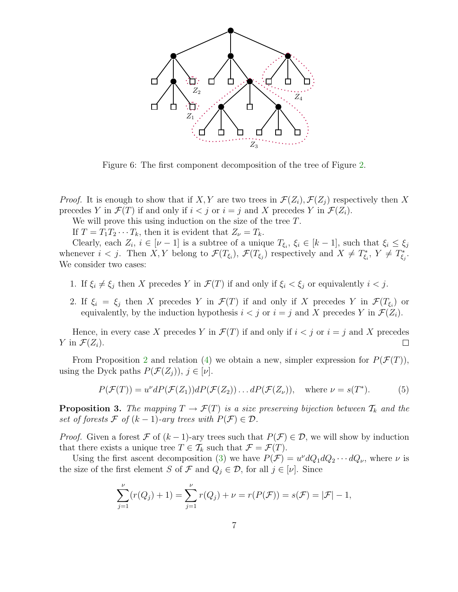

<span id="page-6-0"></span>Figure 6: The first component decomposition of the tree of Figure [2.](#page-2-0)

*Proof.* It is enough to show that if X, Y are two trees in  $\mathcal{F}(Z_i)$ ,  $\mathcal{F}(Z_i)$  respectively then X precedes Y in  $\mathcal{F}(T)$  if and only if  $i < j$  or  $i = j$  and X precedes Y in  $\mathcal{F}(Z_i)$ .

We will prove this using induction on the size of the tree  $T$ .

If  $T = T_1 T_2 \cdots T_k$ , then it is evident that  $Z_{\nu} = T_k$ .

Clearly, each  $Z_i$ ,  $i \in [\nu - 1]$  is a subtree of a unique  $T_{\xi_i}, \xi_i \in [k - 1]$ , such that  $\xi_i \leq \xi_j$ whenever  $i < j$ . Then  $X, Y$  belong to  $\mathcal{F}(T_{\xi_i})$ ,  $\mathcal{F}(T_{\xi_j})$  respectively and  $X \neq T_{\xi_i}^*$ ,  $Y \neq T_{\xi_j}^*$ . We consider two cases:

- 1. If  $\xi_i \neq \xi_j$  then X precedes Y in  $\mathcal{F}(T)$  if and only if  $\xi_i < \xi_j$  or equivalently  $i < j$ .
- 2. If  $\xi_i = \xi_j$  then X precedes Y in  $\mathcal{F}(T)$  if and only if X precedes Y in  $\mathcal{F}(T_{\xi_i})$  or equivalently, by the induction hypothesis  $i < j$  or  $i = j$  and X precedes Y in  $\mathcal{F}(Z_i)$ .

Hence, in every case X precedes Y in  $\mathcal{F}(T)$  if and only if  $i < j$  or  $i = j$  and X precedes Y in  $\mathcal{F}(Z_i)$ . □

From Proposition [2](#page-5-0) and relation [\(4\)](#page-4-3) we obtain a new, simpler expression for  $P(\mathcal{F}(T))$ , using the Dyck paths  $P(\mathcal{F}(Z_i)), j \in [\nu]$ .

<span id="page-6-1"></span>
$$
P(\mathcal{F}(T)) = u^{\nu}dP(\mathcal{F}(Z_1))dP(\mathcal{F}(Z_2))\dots dP(\mathcal{F}(Z_{\nu})), \text{ where } \nu = s(T^*).
$$
 (5)

<span id="page-6-2"></span>**Proposition 3.** The mapping  $T \to \mathcal{F}(T)$  is a size preserving bijection between  $\mathcal{T}_k$  and the set of forests  $\mathcal F$  of  $(k-1)$ -ary trees with  $P(\mathcal F) \in \mathcal D$ .

*Proof.* Given a forest F of  $(k-1)$ -ary trees such that  $P(\mathcal{F}) \in \mathcal{D}$ , we will show by induction that there exists a unique tree  $T \in \mathcal{T}_k$  such that  $\mathcal{F} = \mathcal{F}(T)$ .

Using the first ascent decomposition [\(3\)](#page-3-1) we have  $P(\mathcal{F}) = u^{\nu} dQ_1 dQ_2 \cdots dQ_{\nu}$ , where  $\nu$  is the size of the first element S of F and  $Q_j \in \mathcal{D}$ , for all  $j \in [\nu]$ . Since

$$
\sum_{j=1}^{\nu} (r(Q_j) + 1) = \sum_{j=1}^{\nu} r(Q_j) + \nu = r(P(\mathcal{F})) = s(\mathcal{F}) = |\mathcal{F}| - 1,
$$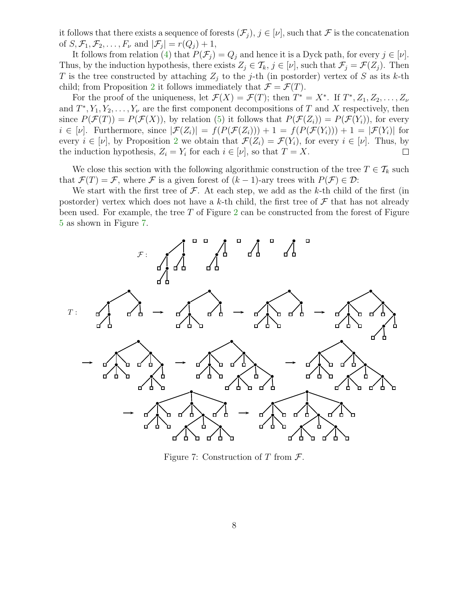it follows that there exists a sequence of forests  $(\mathcal{F}_i)$ ,  $j \in [\nu]$ , such that  $\mathcal F$  is the concatenation of  $S, \mathcal{F}_1, \mathcal{F}_2, \ldots, F_{\nu}$  and  $|\mathcal{F}_j| = r(Q_j) + 1$ ,

It follows from relation [\(4\)](#page-4-3) that  $P(\mathcal{F}_i) = Q_i$  and hence it is a Dyck path, for every  $j \in [\nu]$ . Thus, by the induction hypothesis, there exists  $Z_j \in \mathcal{T}_k$ ,  $j \in [\nu]$ , such that  $\mathcal{F}_j = \mathcal{F}(Z_j)$ . Then T is the tree constructed by attaching  $Z_j$  to the j-th (in postorder) vertex of S as its k-th child; from Proposition [2](#page-5-0) it follows immediately that  $\mathcal{F} = \mathcal{F}(T)$ .

For the proof of the uniqueness, let  $\mathcal{F}(X) = \mathcal{F}(T)$ ; then  $T^* = X^*$ . If  $T^*, Z_1, Z_2, \ldots, Z_{\nu}$ and  $T^*, Y_1, Y_2, \ldots, Y_{\nu}$  are the first component decompositions of T and X respectively, then since  $P(\mathcal{F}(T)) = P(\mathcal{F}(X))$ , by relation [\(5\)](#page-6-1) it follows that  $P(\mathcal{F}(Z_i)) = P(\mathcal{F}(Y_i))$ , for every  $i \in [\nu]$ . Furthermore, since  $|\mathcal{F}(Z_i)| = f(P(\mathcal{F}(Z_i))) + 1 = f(P(\mathcal{F}(Y_i))) + 1 = |\mathcal{F}(Y_i)|$  for every  $i \in [\nu]$ , by Proposition [2](#page-5-0) we obtain that  $\mathcal{F}(Z_i) = \mathcal{F}(Y_i)$ , for every  $i \in [\nu]$ . Thus, by the induction hypothesis,  $Z_i = Y_i$  for each  $i \in [\nu]$ , so that  $T = X$ . □

We close this section with the following algorithmic construction of the tree  $T \in \mathcal{T}_k$  such that  $\mathcal{F}(T) = \mathcal{F}$ , where  $\mathcal F$  is a given forest of  $(k-1)$ -ary trees with  $P(\mathcal F) \in \mathcal D$ :

We start with the first tree of  $\mathcal F$ . At each step, we add as the k-th child of the first (in postorder) vertex which does not have a k-th child, the first tree of  $\mathcal F$  that has not already been used. For example, the tree  $T$  of Figure [2](#page-2-0) can be constructed from the forest of Figure [5](#page-4-2) as shown in Figure [7.](#page-7-0)



<span id="page-7-0"></span>Figure 7: Construction of T from  $\mathcal{F}$ .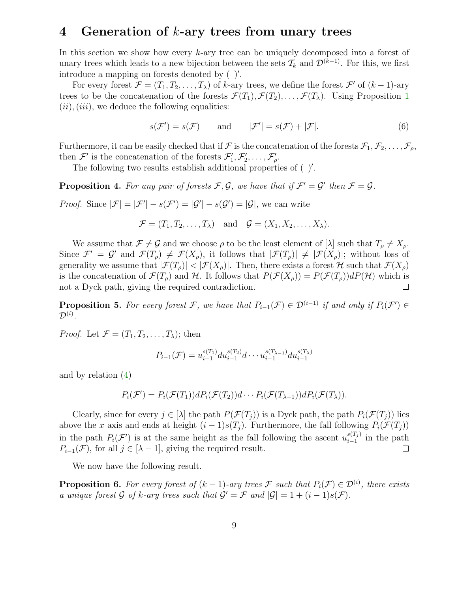#### <span id="page-8-0"></span>4 Generation of  $k$ -ary trees from unary trees

In this section we show how every k-ary tree can be uniquely decomposed into a forest of unary trees which leads to a new bijection between the sets  $\mathcal{T}_k$  and  $\mathcal{D}^{(k-1)}$ . For this, we first introduce a mapping on forests denoted by ( )′ .

For every forest  $\mathcal{F} = (T_1, T_2, \dots, T_\lambda)$  of k-ary trees, we define the forest  $\mathcal{F}'$  of  $(k-1)$ -ary trees to be the concatenation of the forests  $\mathcal{F}(T_1), \mathcal{F}(T_2), \ldots, \mathcal{F}(T_{\lambda})$  $\mathcal{F}(T_1), \mathcal{F}(T_2), \ldots, \mathcal{F}(T_{\lambda})$  $\mathcal{F}(T_1), \mathcal{F}(T_2), \ldots, \mathcal{F}(T_{\lambda})$ . Using Proposition 1  $(ii), (iii)$ , we deduce the following equalities:

<span id="page-8-4"></span>
$$
s(\mathcal{F}') = s(\mathcal{F}) \qquad \text{and} \qquad |\mathcal{F}'| = s(\mathcal{F}) + |\mathcal{F}|.
$$
 (6)

Furthermore, it can be easily checked that if F is the concatenation of the forests  $\mathcal{F}_1, \mathcal{F}_2, \ldots, \mathcal{F}_\rho$ , then  $\mathcal{F}'$  is the concatenation of the forests  $\mathcal{F}'_1, \mathcal{F}'_2, \ldots, \mathcal{F}'_{\rho}$ .

The following two results establish additional properties of  $( )'.$ 

<span id="page-8-1"></span>**Proposition 4.** For any pair of forests F, G, we have that if  $\mathcal{F}' = \mathcal{G}'$  then  $\mathcal{F} = \mathcal{G}$ .

*Proof.* Since  $|\mathcal{F}| = |\mathcal{F}'| - s(\mathcal{F}') = |\mathcal{G}'| - s(\mathcal{G}') = |\mathcal{G}|$ , we can write

$$
\mathcal{F} = (T_1, T_2, \dots, T_\lambda) \quad \text{and} \quad \mathcal{G} = (X_1, X_2, \dots, X_\lambda).
$$

We assume that  $\mathcal{F} \neq \mathcal{G}$  and we choose  $\rho$  to be the least element of  $[\lambda]$  such that  $T_{\rho} \neq X_{\rho}$ . Since  $\mathcal{F}' = \mathcal{G}'$  and  $\mathcal{F}(T_\rho) \neq \mathcal{F}(X_\rho)$ , it follows that  $|\mathcal{F}(T_\rho)| \neq |\mathcal{F}(X_\rho)|$ ; without loss of generality we assume that  $|\mathcal{F}(T_{\rho})| < |\mathcal{F}(X_{\rho})|$ . Then, there exists a forest H such that  $\mathcal{F}(X_{\rho})$ is the concatenation of  $\mathcal{F}(T_p)$  and H. It follows that  $P(\mathcal{F}(X_p)) = P(\mathcal{F}(T_p))dP(\mathcal{H})$  which is not a Dyck path, giving the required contradiction.  $\Box$ 

<span id="page-8-2"></span>**Proposition 5.** For every forest F, we have that  $P_{i-1}(\mathcal{F}) \in \mathcal{D}^{(i-1)}$  if and only if  $P_i(\mathcal{F}') \in$  $\mathcal{D}^{(i)}$  .

*Proof.* Let  $\mathcal{F} = (T_1, T_2, \ldots, T_{\lambda})$ ; then

$$
P_{i-1}(\mathcal{F}) = u_{i-1}^{s(T_1)} du_{i-1}^{s(T_2)} d \cdots u_{i-1}^{s(T_{\lambda-1})} du_{i-1}^{s(T_{\lambda})}
$$

and by relation [\(4\)](#page-4-3)

$$
P_i(\mathcal{F}') = P_i(\mathcal{F}(T_1))dP_i(\mathcal{F}(T_2))d\cdots P_i(\mathcal{F}(T_{\lambda-1}))dP_i(\mathcal{F}(T_{\lambda})).
$$

Clearly, since for every  $j \in [\lambda]$  the path  $P(\mathcal{F}(T_i))$  is a Dyck path, the path  $P_i(\mathcal{F}(T_i))$  lies above the x axis and ends at height  $(i - 1)s(T_j)$ . Furthermore, the fall following  $P_i(\mathcal{F}(T_j))$ in the path  $P_i(\mathcal{F}')$  is at the same height as the fall following the ascent  $u_{i-1}^{s(T_i)}$  $\sum_{i=1}^{s(T_j)}$  in the path  $P_{i-1}(\mathcal{F})$ , for all  $j \in [\lambda-1]$ , giving the required result.  $\Box$ 

We now have the following result.

<span id="page-8-3"></span>**Proposition 6.** For every forest of  $(k-1)$ -ary trees  $\mathcal F$  such that  $P_i(\mathcal F) \in \mathcal D^{(i)}$ , there exists a unique forest G of k-ary trees such that  $G' = \mathcal{F}$  and  $|\mathcal{G}| = 1 + (i - 1)s(\mathcal{F})$ .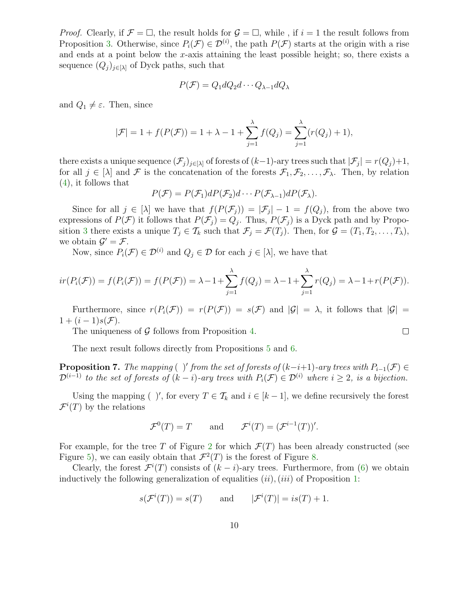*Proof.* Clearly, if  $\mathcal{F} = \Box$ , the result holds for  $\mathcal{G} = \Box$ , while, if  $i = 1$  the result follows from Proposition [3.](#page-6-2) Otherwise, since  $P_i(\mathcal{F}) \in \mathcal{D}^{(i)}$ , the path  $P(\mathcal{F})$  starts at the origin with a rise and ends at a point below the  $x$ -axis attaining the least possible height; so, there exists a sequence  $(Q_j)_{j\in[\lambda]}$  of Dyck paths, such that

$$
P(\mathcal{F})=Q_1dQ_2d\cdots Q_{\lambda-1}dQ_\lambda
$$

and  $Q_1 \neq \varepsilon$ . Then, since

$$
|\mathcal{F}| = 1 + f(P(\mathcal{F})) = 1 + \lambda - 1 + \sum_{j=1}^{\lambda} f(Q_j) = \sum_{j=1}^{\lambda} (r(Q_j) + 1),
$$

there exists a unique sequence  $(\mathcal{F}_j)_{j\in[\lambda]}$  of forests of  $(k-1)$ -ary trees such that  $|\mathcal{F}_j|=r(Q_j)+1,$ for all  $j \in [\lambda]$  and F is the concatenation of the forests  $\mathcal{F}_1, \mathcal{F}_2, \ldots, \mathcal{F}_\lambda$ . Then, by relation [\(4\)](#page-4-3), it follows that

$$
P(\mathcal{F}) = P(\mathcal{F}_1)dP(\mathcal{F}_2)d\cdots P(\mathcal{F}_{\lambda-1})dP(\mathcal{F}_{\lambda}).
$$

Since for all  $j \in [\lambda]$  we have that  $f(P(\mathcal{F}_j)) = |\mathcal{F}_j| - 1 = f(Q_j)$ , from the above two expressions of  $P(\mathcal{F})$  it follows that  $P(\mathcal{F}_j) = Q_j$ . Thus,  $P(\mathcal{F}_j)$  is a Dyck path and by Propo-sition [3](#page-6-2) there exists a unique  $T_j \in \mathcal{T}_k$  such that  $\mathcal{F}_j = \mathcal{F}(T_j)$ . Then, for  $\mathcal{G} = (T_1, T_2, \ldots, T_\lambda)$ , we obtain  $\mathcal{G}' = \mathcal{F}$ .

Now, since  $P_i(\mathcal{F}) \in \mathcal{D}^{(i)}$  and  $Q_j \in \mathcal{D}$  for each  $j \in [\lambda]$ , we have that

$$
ir(P_i(\mathcal{F})) = f(P_i(\mathcal{F})) = f(P(\mathcal{F})) = \lambda - 1 + \sum_{j=1}^{\lambda} f(Q_j) = \lambda - 1 + \sum_{j=1}^{\lambda} r(Q_j) = \lambda - 1 + r(P(\mathcal{F})).
$$

Furthermore, since  $r(P_i(\mathcal{F})) = r(P(\mathcal{F})) = s(\mathcal{F})$  and  $|\mathcal{G}| = \lambda$ , it follows that  $|\mathcal{G}| =$  $1 + (i - 1)s(\mathcal{F}).$ 

 $\Box$ 

The uniqueness of  $\mathcal G$  follows from Proposition [4.](#page-8-1)

The next result follows directly from Propositions [5](#page-8-2) and [6.](#page-8-3)

<span id="page-9-0"></span>**Proposition 7.** The mapping (*)'* from the set of forests of  $(k-i+1)$ -ary trees with  $P_{i-1}(\mathcal{F}) \in$  $\mathcal{D}^{(i-1)}$  to the set of forests of  $(k-i)$ -ary trees with  $P_i(\mathcal{F}) \in \mathcal{D}^{(i)}$  where  $i \geq 2$ , is a bijection.

Using the mapping ( )', for every  $T \in \mathcal{T}_k$  and  $i \in [k-1]$ , we define recursively the forest  $\mathcal{F}^{i}(T)$  by the relations

$$
\mathcal{F}^0(T) = T
$$
 and  $\mathcal{F}^i(T) = (\mathcal{F}^{i-1}(T))'.$ 

For example, for the tree T of Figure [2](#page-2-0) for which  $\mathcal{F}(T)$  has been already constructed (see Figure [5\)](#page-4-2), we can easily obtain that  $\mathcal{F}^2(T)$  is the forest of Figure [8.](#page-10-1)

Clearly, the forest  $\mathcal{F}^{i}(T)$  consists of  $(k - i)$ -ary trees. Furthermore, from [\(6\)](#page-8-4) we obtain inductively the following generalization of equalities  $(ii)$ ,  $(iii)$  of Proposition [1:](#page-4-4)

$$
s(\mathcal{F}^i(T)) = s(T)
$$
 and  $|\mathcal{F}^i(T)| = is(T) + 1$ .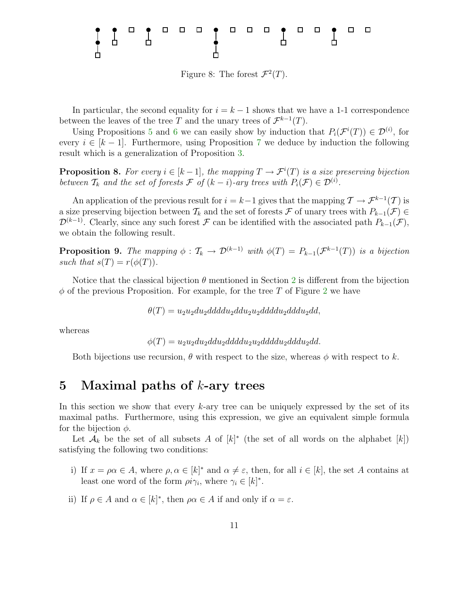

<span id="page-10-1"></span>Figure 8: The forest  $\mathcal{F}^2(T)$ .

In particular, the second equality for  $i = k - 1$  shows that we have a 1-1 correspondence between the leaves of the tree T and the unary trees of  $\mathcal{F}^{k-1}(T)$ .

Using Propositions [5](#page-8-2) and [6](#page-8-3) we can easily show by induction that  $P_i(\mathcal{F}^i(T)) \in \mathcal{D}^{(i)}$ , for every  $i \in [k-1]$ . Furthermore, using Proposition [7](#page-9-0) we deduce by induction the following result which is a generalization of Proposition [3.](#page-6-2)

**Proposition 8.** For every  $i \in [k-1]$ , the mapping  $T \to \mathcal{F}^i(T)$  is a size preserving bijection between  $\mathcal{T}_k$  and the set of forests  $\mathcal{F}$  of  $(k-i)$ -ary trees with  $P_i(\mathcal{F}) \in \mathcal{D}^{(i)}$ .

An application of the previous result for  $i = k-1$  gives that the mapping  $\mathcal{T} \to \mathcal{F}^{k-1}(\mathcal{T})$  is a size preserving bijection between  $\mathcal{T}_k$  and the set of forests F of unary trees with  $P_{k-1}(\mathcal{F}) \in$  $\mathcal{D}^{(k-1)}$ . Clearly, since any such forest F can be identified with the associated path  $P_{k-1}(\mathcal{F})$ , we obtain the following result.

**Proposition 9.** The mapping  $\phi : \mathcal{T}_k \to \mathcal{D}^{(k-1)}$  with  $\phi(T) = P_{k-1}(\mathcal{F}^{k-1}(T))$  is a bijection such that  $s(T) = r(\phi(T))$ .

Notice that the classical bijection  $\theta$  mentioned in Section [2](#page-1-0) is different from the bijection  $\phi$  of the previous Proposition. For example, for the tree T of Figure [2](#page-2-0) we have

 $\theta(T) = u_2u_2du_2dddu_2dddu_2dddu_2dddu_2dddu_2dd,$ 

whereas

 $\phi(T) = u_2u_2du_2dddu_2dddu_2u_2dddu_2dddu_2dd.$ 

Both bijections use recursion,  $\theta$  with respect to the size, whereas  $\phi$  with respect to k.

#### <span id="page-10-0"></span>5 Maximal paths of  $k$ -ary trees

In this section we show that every  $k$ -ary tree can be uniquely expressed by the set of its maximal paths. Furthermore, using this expression, we give an equivalent simple formula for the bijection  $\phi$ .

Let  $\mathcal{A}_k$  be the set of all subsets A of  $[k]^*$  (the set of all words on the alphabet  $[k]$ ) satisfying the following two conditions:

- i) If  $x = \rho \alpha \in A$ , where  $\rho, \alpha \in [k]^*$  and  $\alpha \neq \varepsilon$ , then, for all  $i \in [k]$ , the set A contains at least one word of the form  $\rho i \gamma_i$ , where  $\gamma_i \in [k]^*$ .
- ii) If  $\rho \in A$  and  $\alpha \in [k]^*$ , then  $\rho \alpha \in A$  if and only if  $\alpha = \varepsilon$ .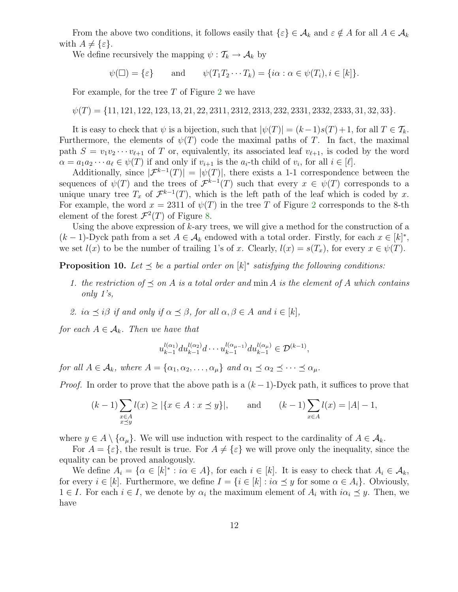From the above two conditions, it follows easily that  $\{\varepsilon\} \in \mathcal{A}_k$  and  $\varepsilon \notin A$  for all  $A \in \mathcal{A}_k$ with  $A \neq {\varepsilon}.$ 

We define recursively the mapping  $\psi: \mathcal{T}_k \to \mathcal{A}_k$  by

 $\psi(\Box) = \{\varepsilon\}$  and  $\psi(T_1T_2\cdots T_k) = \{i\alpha : \alpha \in \psi(T_i), i \in [k]\}.$ 

For example, for the tree  $T$  of Figure [2](#page-2-0) we have

 $\psi(T) = \{11, 121, 122, 123, 13, 21, 22, 2311, 2312, 2313, 232, 2331, 2332, 2333, 31, 32, 33\}.$ 

It is easy to check that  $\psi$  is a bijection, such that  $|\psi(T)| = (k-1)s(T)+1$ , for all  $T \in \mathcal{T}_k$ . Furthermore, the elements of  $\psi(T)$  code the maximal paths of T. In fact, the maximal path  $S = v_1v_2\cdots v_{\ell+1}$  of T or, equivalently, its associated leaf  $v_{\ell+1}$ , is coded by the word  $\alpha = a_1 a_2 \cdots a_\ell \in \psi(T)$  if and only if  $v_{i+1}$  is the  $a_i$ -th child of  $v_i$ , for all  $i \in [\ell]$ .

Additionally, since  $|\mathcal{F}^{k-1}(T)| = |\psi(T)|$ , there exists a 1-1 correspondence between the sequences of  $\psi(T)$  and the trees of  $\mathcal{F}^{k-1}(T)$  such that every  $x \in \psi(T)$  corresponds to a unique unary tree  $T_x$  of  $\mathcal{F}^{k-1}(T)$ , which is the left path of the leaf which is coded by x. For example, the word  $x = 2311$  $x = 2311$  $x = 2311$  of  $\psi(T)$  in the tree T of Figure 2 corresponds to the 8-th element of the forest  $\mathcal{F}^2(T)$  of Figure [8.](#page-10-1)

Using the above expression of  $k$ -ary trees, we will give a method for the construction of a  $(k-1)$ -Dyck path from a set  $A \in \mathcal{A}_k$  endowed with a total order. Firstly, for each  $x \in [k]^*$ , we set  $l(x)$  to be the number of trailing 1's of x. Clearly,  $l(x) = s(T_x)$ , for every  $x \in \psi(T)$ .

<span id="page-11-0"></span>**Proposition 10.** Let  $\leq$  be a partial order on  $[k]^*$  satisfying the following conditions:

- 1. the restriction of  $\preceq$  on A is a total order and min A is the element of A which contains only 1's,
- 2. i $\alpha \preceq i\beta$  if and only if  $\alpha \preceq \beta$ , for all  $\alpha, \beta \in A$  and  $i \in [k]$ ,

for each  $A \in \mathcal{A}_k$ . Then we have that

$$
u_{k-1}^{l(\alpha_1)} du_{k-1}^{l(\alpha_2)} d \cdots u_{k-1}^{l(\alpha_{\mu-1})} du_{k-1}^{l(\alpha_{\mu})} \in \mathcal{D}^{(k-1)},
$$

for all  $A \in \mathcal{A}_k$ , where  $A = {\alpha_1, \alpha_2, \ldots, \alpha_u}$  and  $\alpha_1 \preceq \alpha_2 \preceq \cdots \preceq \alpha_u$ .

*Proof.* In order to prove that the above path is a  $(k-1)$ -Dyck path, it suffices to prove that

$$
(k-1)\sum_{\substack{x \in A \\ x \preceq y}} l(x) \ge |\{x \in A : x \preceq y\}|, \quad \text{and} \quad (k-1)\sum_{x \in A} l(x) = |A| - 1,
$$

where  $y \in A \setminus \{\alpha_{\mu}\}.$  We will use induction with respect to the cardinality of  $A \in \mathcal{A}_{k}$ .

For  $A = {\varepsilon}$ , the result is true. For  $A \neq {\varepsilon}$  we will prove only the inequality, since the equality can be proved analogously.

We define  $A_i = \{ \alpha \in [k]^* : i\alpha \in A \}$ , for each  $i \in [k]$ . It is easy to check that  $A_i \in \mathcal{A}_k$ , for every  $i \in [k]$ . Furthermore, we define  $I = \{i \in [k] : i\alpha \preceq y \text{ for some } \alpha \in A_i\}$ . Obviously,  $1 \in I$ . For each  $i \in I$ , we denote by  $\alpha_i$  the maximum element of  $A_i$  with  $i\alpha_i \preceq y$ . Then, we have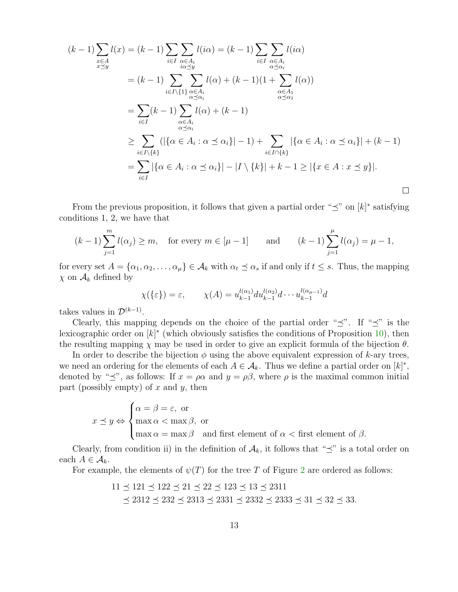$$
(k-1)\sum_{\substack{x\in A\\x\leq y}} l(x) = (k-1)\sum_{i\in I} \sum_{\substack{\alpha\in A_i\\i\alpha\leq y}} l(i\alpha) = (k-1)\sum_{i\in I} \sum_{\substack{\alpha\in A_i\\ \alpha\leq \alpha_i}} l(\alpha) = (k-1)\sum_{i\in I\backslash\{1\}} \sum_{\substack{\alpha\in A_i\\ \alpha\leq \alpha_i}} l(\alpha) + (k-1)(1+\sum_{\substack{\alpha\in A_1\\ \alpha\leq \alpha_1}} l(\alpha))
$$

$$
= \sum_{i\in I} (k-1)\sum_{\substack{\alpha\in A_i\\ \alpha\leq \alpha_i}} l(\alpha) + (k-1)
$$

$$
\geq \sum_{i\in I\backslash\{k\}} (|\{\alpha\in A_i : \alpha\leq \alpha_i\}|-1) + \sum_{i\in I\cap\{k\}} |\{\alpha\in A_i : \alpha\leq \alpha_i\}| + (k-1)
$$

$$
= \sum_{i\in I} |\{\alpha\in A_i : \alpha\leq \alpha_i\}|-|I\setminus\{k\}|+k-1\geq |\{x\in A : x\leq y\}|.
$$

From the previous proposition, it follows that given a partial order " $\preceq$ " on  $[k]^*$  satisfying conditions 1, 2, we have that

$$
(k-1)\sum_{j=1}^{m} l(\alpha_j) \ge m
$$
, for every  $m \in [\mu - 1]$  and  $(k-1)\sum_{j=1}^{\mu} l(\alpha_j) = \mu - 1$ ,

for every set  $A = \{\alpha_1, \alpha_2, \dots, \alpha_\mu\} \in \mathcal{A}_k$  with  $\alpha_t \preceq \alpha_s$  if and only if  $t \leq s$ . Thus, the mapping  $\chi$  on  $\mathcal{A}_k$  defined by

$$
\chi(\{\varepsilon\}) = \varepsilon, \qquad \chi(A) = u_{k-1}^{l(\alpha_1)} du_{k-1}^{l(\alpha_2)} d \cdots u_{k-1}^{l(\alpha_{\mu-1})} d
$$

takes values in  $\mathcal{D}^{(k-1)}$ .

Clearly, this mapping depends on the choice of the partial order " $\preceq$ ". If " $\preceq$ " is the lexicographic order on  $[k]^*$  (which obviously satisfies the conditions of Proposition [10\)](#page-11-0), then the resulting mapping  $\chi$  may be used in order to give an explicit formula of the bijection  $\theta$ .

In order to describe the bijection  $\phi$  using the above equivalent expression of k-ary trees, we need an ordering for the elements of each  $A \in \mathcal{A}_k$ . Thus we define a partial order on  $[k]^*,$ denoted by " $\preceq$ ", as follows: If  $x = \rho \alpha$  and  $y = \rho \beta$ , where  $\rho$  is the maximal common initial part (possibly empty) of  $x$  and  $y$ , then

$$
x \preceq y \Leftrightarrow \begin{cases} \alpha = \beta = \varepsilon, \text{ or} \\ \max \alpha < \max \beta, \text{ or} \\ \max \alpha = \max \beta \quad \text{and first element of } \alpha < \text{first element of } \beta. \end{cases}
$$

Clearly, from condition ii) in the definition of  $\mathcal{A}_k$ , it follows that " $\preceq$ " is a total order on each  $A \in \mathcal{A}_k$ .

For example, the elements of  $\psi(T)$  for the tree T of Figure [2](#page-2-0) are ordered as follows:

$$
11 \le 121 \le 122 \le 21 \le 22 \le 123 \le 13 \le 2311
$$
  

$$
\le 2312 \le 232 \le 2313 \le 2331 \le 2332 \le 2333 \le 31 \le 32 \le 33.
$$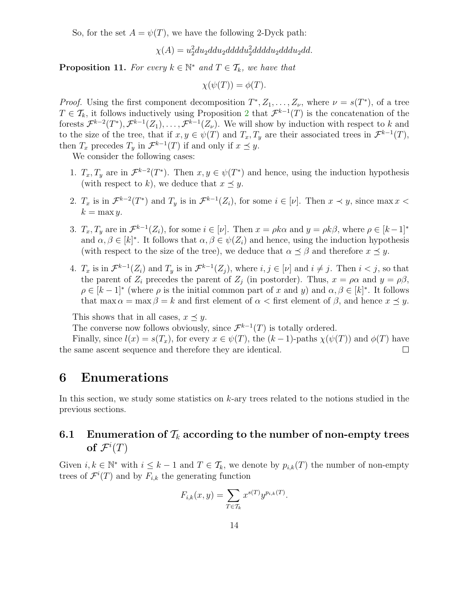So, for the set  $A = \psi(T)$ , we have the following 2-Dyck path:

 $\chi(A) = u_2^2 du_2 ddud_2 ddddu_2 ddddu_2 dddu_2ddd.$ 

**Proposition 11.** For every  $k \in \mathbb{N}^*$  and  $T \in \mathcal{T}_k$ , we have that

$$
\chi(\psi(T)) = \phi(T).
$$

*Proof.* Using the first component decomposition  $T^*, Z_1, \ldots, Z_{\nu}$ , where  $\nu = s(T^*)$ , of a tree  $T \in \mathcal{T}_k$ , it follows inductively using Proposition [2](#page-5-0) that  $\mathcal{F}^{k-1}(T)$  is the concatenation of the forests  $\mathcal{F}^{k-2}(T^*), \mathcal{F}^{k-1}(Z_1), \ldots, \mathcal{F}^{k-1}(Z_{\nu}).$  We will show by induction with respect to k and to the size of the tree, that if  $x, y \in \psi(T)$  and  $T_x, T_y$  are their associated trees in  $\mathcal{F}^{k-1}(T)$ , then  $T_x$  precedes  $T_y$  in  $\mathcal{F}^{k-1}(T)$  if and only if  $x \preceq y$ .

We consider the following cases:

- 1.  $T_x, T_y$  are in  $\mathcal{F}^{k-2}(T^*)$ . Then  $x, y \in \psi(T^*)$  and hence, using the induction hypothesis (with respect to k), we deduce that  $x \prec y$ .
- 2.  $T_x$  is in  $\mathcal{F}^{k-2}(T^*)$  and  $T_y$  is in  $\mathcal{F}^{k-1}(Z_i)$ , for some  $i \in [\nu]$ . Then  $x \prec y$ , since max  $x <$  $k = \max y$ .
- 3.  $T_x, T_y$  are in  $\mathcal{F}^{k-1}(Z_i)$ , for some  $i \in [\nu]$ . Then  $x = \rho k \alpha$  and  $y = \rho k \beta$ , where  $\rho \in [k-1]^*$ and  $\alpha, \beta \in [k]^*$ . It follows that  $\alpha, \beta \in \psi(Z_i)$  and hence, using the induction hypothesis (with respect to the size of the tree), we deduce that  $\alpha \preceq \beta$  and therefore  $x \preceq y$ .
- 4.  $T_x$  is in  $\mathcal{F}^{k-1}(Z_i)$  and  $T_y$  is in  $\mathcal{F}^{k-1}(Z_j)$ , where  $i, j \in [\nu]$  and  $i \neq j$ . Then  $i < j$ , so that the parent of  $Z_i$  precedes the parent of  $Z_j$  (in postorder). Thus,  $x = \rho \alpha$  and  $y = \rho \beta$ ,  $\rho \in [k-1]^*$  (where  $\rho$  is the initial common part of x and y) and  $\alpha, \beta \in [k]^*$ . It follows that max  $\alpha = \max \beta = k$  and first element of  $\alpha <$  first element of  $\beta$ , and hence  $x \preceq y$ .

This shows that in all cases,  $x \preceq y$ .

The converse now follows obviously, since  $\mathcal{F}^{k-1}(T)$  is totally ordered.

Finally, since  $l(x) = s(T_x)$ , for every  $x \in \psi(T)$ , the  $(k-1)$ -paths  $\chi(\psi(T))$  and  $\phi(T)$  have the same ascent sequence and therefore they are identical.  $\Box$ 

#### <span id="page-13-0"></span>6 Enumerations

In this section, we study some statistics on k-ary trees related to the notions studied in the previous sections.

# 6.1 Enumeration of  $\mathcal{T}_k$  according to the number of non-empty trees of  $\mathcal{F}^i(T)$

Given  $i, k \in \mathbb{N}^*$  with  $i \leq k-1$  and  $T \in \mathcal{T}_k$ , we denote by  $p_{i,k}(T)$  the number of non-empty trees of  $\mathcal{F}^i(T)$  and by  $F_{i,k}$  the generating function

$$
F_{i,k}(x,y) = \sum_{T \in \mathcal{T}_k} x^{s(T)} y^{p_{i,k}(T)}.
$$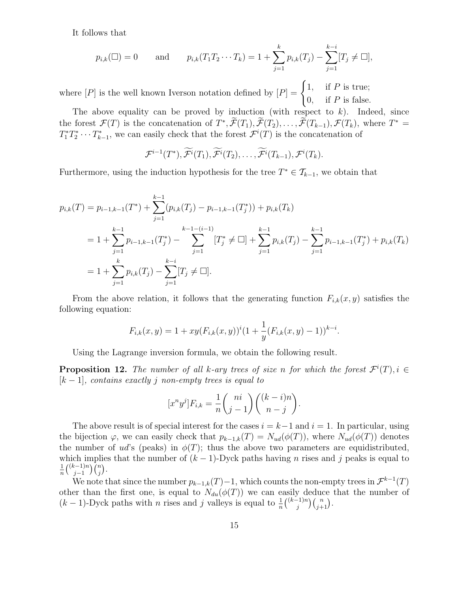It follows that

$$
p_{i,k}(\square) = 0
$$
 and  $p_{i,k}(T_1T_2\cdots T_k) = 1 + \sum_{j=1}^k p_{i,k}(T_j) - \sum_{j=1}^{k-i} [T_j \neq \square],$ 

where  $[P]$  is the well known Iverson notation defined by  $[P] = \begin{cases} 1, & \text{if } P \text{ is true;} \\ 0, & \text{if } P \text{ is true;} \end{cases}$ 0, if  $P$  is false.

The above equality can be proved by induction (with respect to  $k$ ). Indeed, since the forest  $\mathcal{F}(T)$  is the concatenation of  $T^*, \mathcal{F}(T_1), \mathcal{F}(T_2), \ldots, \mathcal{F}(T_{k-1}), \mathcal{F}(T_k)$ , where  $T^* =$  $T_1^*T_2^* \cdots T_{k-1}^*$ , we can easily check that the forest  $\mathcal{F}^i(T)$  is the concatenation of

$$
\mathcal{F}^{i-1}(T^*), \widetilde{\mathcal{F}^i}(T_1), \widetilde{\mathcal{F}^i}(T_2), \ldots, \widetilde{\mathcal{F}^i}(T_{k-1}), \mathcal{F}^i(T_k).
$$

Furthermore, using the induction hypothesis for the tree  $T^* \in \mathcal{T}_{k-1}$ , we obtain that

$$
p_{i,k}(T) = p_{i-1,k-1}(T^*) + \sum_{j=1}^{k-1} (p_{i,k}(T_j) - p_{i-1,k-1}(T_j^*)) + p_{i,k}(T_k)
$$
  
=  $1 + \sum_{j=1}^{k-1} p_{i-1,k-1}(T_j^*) - \sum_{j=1}^{k-1} [T_j^* \neq \Box] + \sum_{j=1}^{k-1} p_{i,k}(T_j) - \sum_{j=1}^{k-1} p_{i-1,k-1}(T_j^*) + p_{i,k}(T_k)$   
=  $1 + \sum_{j=1}^{k} p_{i,k}(T_j) - \sum_{j=1}^{k-i} [T_j \neq \Box].$ 

From the above relation, it follows that the generating function  $F_{i,k}(x,y)$  satisfies the following equation:

$$
F_{i,k}(x,y) = 1 + xy(F_{i,k}(x,y))^i (1 + \frac{1}{y}(F_{i,k}(x,y) - 1))^{k-i}.
$$

Using the Lagrange inversion formula, we obtain the following result.

**Proposition 12.** The number of all k-ary trees of size n for which the forest  $\mathcal{F}^i(T)$ ,  $i \in$  $[k-1]$ , contains exactly j non-empty trees is equal to

$$
[x^n y^j] F_{i,k} = \frac{1}{n} {ni \choose j-1} {k-i \choose n-j}.
$$

The above result is of special interest for the cases  $i = k-1$  and  $i = 1$ . In particular, using the bijection  $\varphi$ , we can easily check that  $p_{k-1,k}(T) = N_{ud}(\phi(T))$ , where  $N_{ud}(\phi(T))$  denotes the number of ud's (peaks) in  $\phi(T)$ ; thus the above two parameters are equidistributed, which implies that the number of  $(k-1)$ -Dyck paths having n rises and j peaks is equal to 1  $\frac{1}{n} \binom{(k-1)n}{j-1}$  $\binom{n}{j-1} \binom{n}{j}.$ 

We note that since the number  $p_{k-1,k}(T)-1$ , which counts the non-empty trees in  $\mathcal{F}^{k-1}(T)$ other than the first one, is equal to  $N_{du}(\phi(T))$  we can easily deduce that the number of  $(k-1)$ -Dyck paths with *n* rises and *j* valleys is equal to  $\frac{1}{n} {k-1 \choose j}$  ${j-1}\choose{j} {n \choose j+1}.$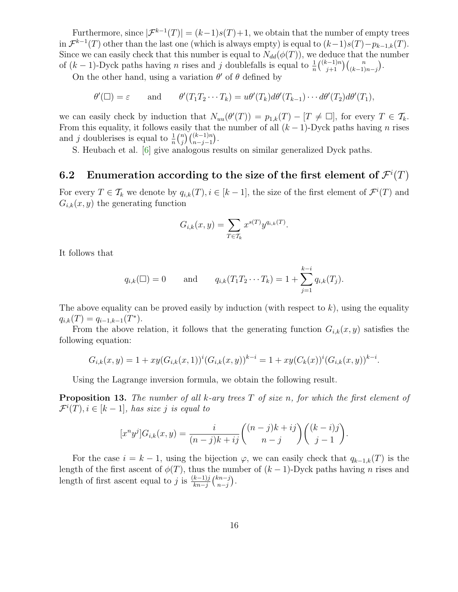Furthermore, since  $|\mathcal{F}^{k-1}(T)| = (k-1)s(T)+1$ , we obtain that the number of empty trees in  $\mathcal{F}^{k-1}(T)$  other than the last one (which is always empty) is equal to  $(k-1)s(T)-p_{k-1,k}(T)$ . Since we can easily check that this number is equal to  $N_{dd}(\phi(T))$ , we deduce that the number of  $(k-1)$ -Dyck paths having *n* rises and *j* doublefalls is equal to  $\frac{1}{n} {k-1 \choose j+1} {n \choose (k-1)n-j}$ .

On the other hand, using a variation  $\theta'$  of  $\theta$  defined by

$$
\theta'(\square) = \varepsilon
$$
 and  $\theta'(T_1T_2\cdots T_k) = u\theta'(T_k)d\theta'(T_{k-1})\cdots d\theta'(T_2)d\theta'(T_1),$ 

we can easily check by induction that  $N_{uu}(\theta'(T)) = p_{1,k}(T) - [T \neq \Box]$ , for every  $T \in \mathcal{T}_k$ . From this equality, it follows easily that the number of all  $(k-1)$ -Dyck paths having n rises and j doublerises is equal to  $\frac{1}{n} {n \choose j}$  $\binom{n}{j}\binom{(k-1)n}{n-j-1}.$ 

S. Heubach et al. [\[6\]](#page-16-4) give analogous results on similar generalized Dyck paths.

### 6.2 Enumeration according to the size of the first element of  $\mathcal{F}^i(T)$

For every  $T \in \mathcal{T}_k$  we denote by  $q_{i,k}(T), i \in [k-1]$ , the size of the first element of  $\mathcal{F}^i(T)$  and  $G_{i,k}(x,y)$  the generating function

$$
G_{i,k}(x,y) = \sum_{T \in \mathcal{T}_k} x^{s(T)} y^{q_{i,k}(T)}.
$$

It follows that

$$
q_{i,k}(\square) = 0
$$
 and  $q_{i,k}(T_1 T_2 \cdots T_k) = 1 + \sum_{j=1}^{k-i} q_{i,k}(T_j).$ 

The above equality can be proved easily by induction (with respect to  $k$ ), using the equality  $q_{i,k}(T) = q_{i-1,k-1}(T^*).$ 

From the above relation, it follows that the generating function  $G_{i,k}(x,y)$  satisfies the following equation:

$$
G_{i,k}(x,y) = 1 + xy(G_{i,k}(x,1))^i(G_{i,k}(x,y))^{k-i} = 1 + xy(C_k(x))^i(G_{i,k}(x,y))^{k-i}.
$$

Using the Lagrange inversion formula, we obtain the following result.

**Proposition 13.** The number of all k-ary trees  $T$  of size n, for which the first element of  $\mathcal{F}^{i}(T), i \in [k-1]$ , has size j is equal to

$$
[xnyj]Gi,k(x,y) = \frac{i}{(n-j)k + ij} \binom{(n-j)k + ij}{n-j} \binom{(k-i)j}{j-1}.
$$

For the case  $i = k - 1$ , using the bijection  $\varphi$ , we can easily check that  $q_{k-1,k}(T)$  is the length of the first ascent of  $\phi(T)$ , thus the number of  $(k-1)$ -Dyck paths having n rises and length of first ascent equal to j is  $\frac{(k-1)j}{kn-j} {kn-j \choose n-j}$  $_{n-j}^{(n-j)}$ .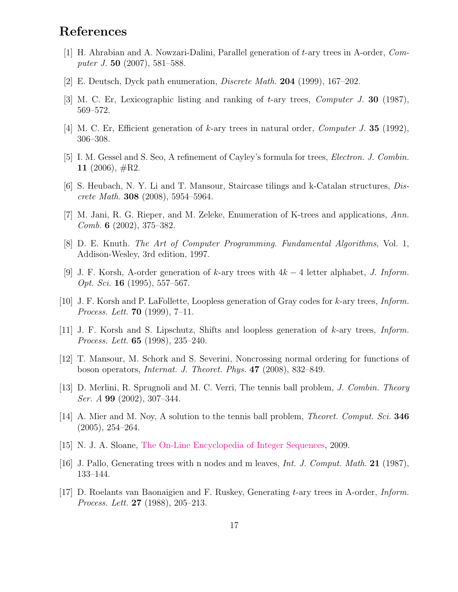# References

- <span id="page-16-12"></span>[1] H. Ahrabian and A. Nowzari-Dalini, Parallel generation of t-ary trees in A-order, Computer J. 50 (2007), 581–588.
- <span id="page-16-0"></span>[2] E. Deutsch, Dyck path enumeration, Discrete Math. 204 (1999), 167–202.
- [3] M. C. Er, Lexicographic listing and ranking of t-ary trees, *Computer J.* **30** (1987), 569–572.
- <span id="page-16-9"></span>[4] M. C. Er, Efficient generation of k-ary trees in natural order, *Computer J.* **35** (1992), 306–308.
- <span id="page-16-4"></span>[5] I. M. Gessel and S. Seo, A refinement of Cayley's formula for trees, Electron. J. Combin. 11 (2006),  $\#R2$ .
- <span id="page-16-5"></span>[6] S. Heubach, N. Y. Li and T. Mansour, Staircase tilings and k-Catalan structures, Discrete Math. **308** (2008), 5954–5964.
- <span id="page-16-10"></span>[7] M. Jani, R. G. Rieper, and M. Zeleke, Enumeration of K-trees and applications, Ann. Comb. 6 (2002), 375–382.
- [8] D. E. Knuth. The Art of Computer Programming. Fundamental Algorithms, Vol. 1, Addison-Wesley, 3rd edition, 1997.
- [9] J. F. Korsh, A-order generation of k-ary trees with  $4k-4$  letter alphabet, J. Inform. Opt. Sci. 16 (1995), 557–567.
- <span id="page-16-1"></span>[10] J. F. Korsh and P. LaFollette, Loopless generation of Gray codes for k-ary trees, *Inform. Process. Lett.* **70** (1999),  $7-11$ .
- <span id="page-16-2"></span>[11] J. F. Korsh and S. Lipschutz, Shifts and loopless generation of k-ary trees, Inform. Process. Lett. 65 (1998), 235–240.
- <span id="page-16-6"></span>[12] T. Mansour, M. Schork and S. Severini, Noncrossing normal ordering for functions of boson operators, Internat. J. Theoret. Phys. 47 (2008), 832–849.
- <span id="page-16-7"></span>[13] D. Merlini, R. Sprugnoli and M. C. Verri, The tennis ball problem, *J. Combin. Theory Ser. A* **99** (2002), 307-344.
- <span id="page-16-11"></span><span id="page-16-8"></span>[14] A. Mier and M. Noy, A solution to the tennis ball problem, *Theoret. Comput. Sci.* **346** (2005), 254–264.
- [15] N. J. A. Sloane, [The On-Line Encyclopedia of Integer Sequences,](http://www.research.att.com/~njas/sequences/) 2009.
- <span id="page-16-3"></span>[16] J. Pallo, Generating trees with n nodes and m leaves, Int. J. Comput. Math. 21 (1987), 133–144.
- [17] D. Roelants van Baonaigien and F. Ruskey, Generating t-ary trees in A-order, Inform. Process. Lett. 27 (1988), 205–213.